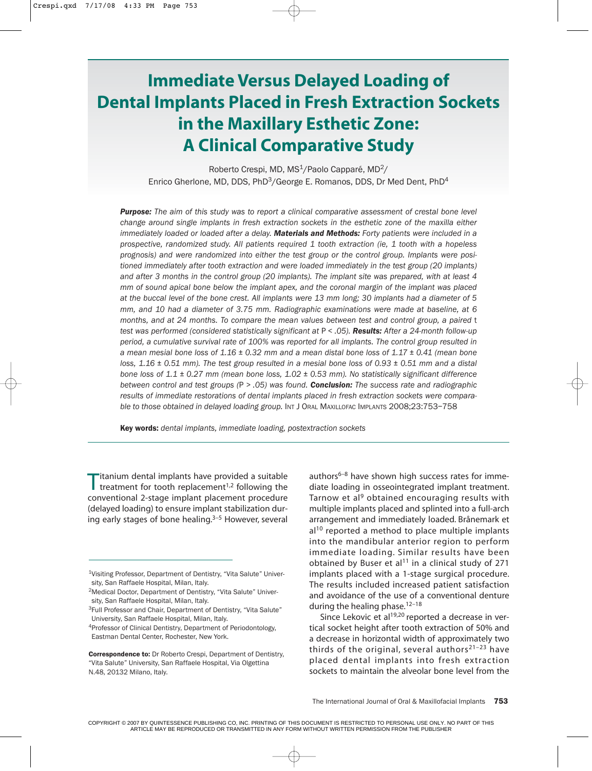# **Immediate Versus Delayed Loading of Dental Implants Placed in Fresh Extraction Sockets in the Maxillary Esthetic Zone: A Clinical Comparative Study**

Roberto Crespi, MD, MS<sup>1</sup>/Paolo Capparé, MD<sup>2</sup>/ Enrico Gherlone, MD, DDS, PhD<sup>3</sup>/George E. Romanos, DDS, Dr Med Dent, PhD<sup>4</sup>

*Purpose: The aim of this study was to report a clinical comparative assessment of crestal bone level change around single implants in fresh extraction sockets in the esthetic zone of the maxilla either immediately loaded or loaded after a delay. Materials and Methods: Forty patients were included in a prospective, randomized study. All patients required 1 tooth extraction (ie, 1 tooth with a hopeless prognosis) and were randomized into either the test group or the control group. Implants were positioned immediately after tooth extraction and were loaded immediately in the test group (20 implants) and after 3 months in the control group (20 implants). The implant site was prepared, with at least 4 mm of sound apical bone below the implant apex, and the coronal margin of the implant was placed at the buccal level of the bone crest. All implants were 13 mm long; 30 implants had a diameter of 5 mm, and 10 had a diameter of 3.75 mm. Radiographic examinations were made at baseline, at 6 months, and at 24 months. To compare the mean values between test and control group, a paired* t *test was performed (considered statistically significant at* P *< .05). Results: After a 24-month follow-up period, a cumulative survival rate of 100% was reported for all implants. The control group resulted in a mean mesial bone loss of 1.16 ± 0.32 mm and a mean distal bone loss of 1.17 ± 0.41 (mean bone loss, 1.16 ± 0.51 mm). The test group resulted in a mesial bone loss of 0.93 ± 0.51 mm and a distal bone loss of 1.1 ± 0.27 mm (mean bone loss, 1.02 ± 0.53 mm). No statistically significant difference between control and test groups (*P *> .05) was found. Conclusion: The success rate and radiographic results of immediate restorations of dental implants placed in fresh extraction sockets were comparable to those obtained in delayed loading group.* INT J ORAL MAXILLOFAC IMPLANTS 2008;23:753–758

Key words: *dental implants, immediate loading, postextraction sockets*

Titanium dental implants have provided a suitable<br>treatment for tooth replacement<sup>1,2</sup> following the conventional 2-stage implant placement procedure (delayed loading) to ensure implant stabilization during early stages of bone healing.<sup>3-5</sup> However, several authors<sup>6-8</sup> have shown high success rates for immediate loading in osseointegrated implant treatment. Tarnow et al<sup>9</sup> obtained encouraging results with multiple implants placed and splinted into a full-arch arrangement and immediately loaded. Brånemark et  $al<sup>10</sup>$  reported a method to place multiple implants into the mandibular anterior region to perform immediate loading. Similar results have been obtained by Buser et al<sup>11</sup> in a clinical study of 271 implants placed with a 1-stage surgical procedure. The results included increased patient satisfaction and avoidance of the use of a conventional denture during the healing phase.<sup>12-18</sup>

Since Lekovic et al<sup>19,20</sup> reported a decrease in vertical socket height after tooth extraction of 50% and a decrease in horizontal width of approximately two thirds of the original, several authors<sup>21-23</sup> have placed dental implants into fresh extraction sockets to maintain the alveolar bone level from the

<sup>1</sup>Visiting Professor, Department of Dentistry, "Vita Salute" University, San Raffaele Hospital, Milan, Italy.

<sup>2</sup>Medical Doctor, Department of Dentistry, "Vita Salute" University, San Raffaele Hospital, Milan, Italy.

<sup>&</sup>lt;sup>3</sup>Full Professor and Chair, Department of Dentistry, "Vita Salute" University, San Raffaele Hospital, Milan, Italy.

<sup>4</sup>Professor of Clinical Dentistry, Department of Periodontology, Eastman Dental Center, Rochester, New York.

Correspondence to: Dr Roberto Crespi, Department of Dentistry, "Vita Salute" University, San Raffaele Hospital, Via Olgettina N.48, 20132 Milano, Italy.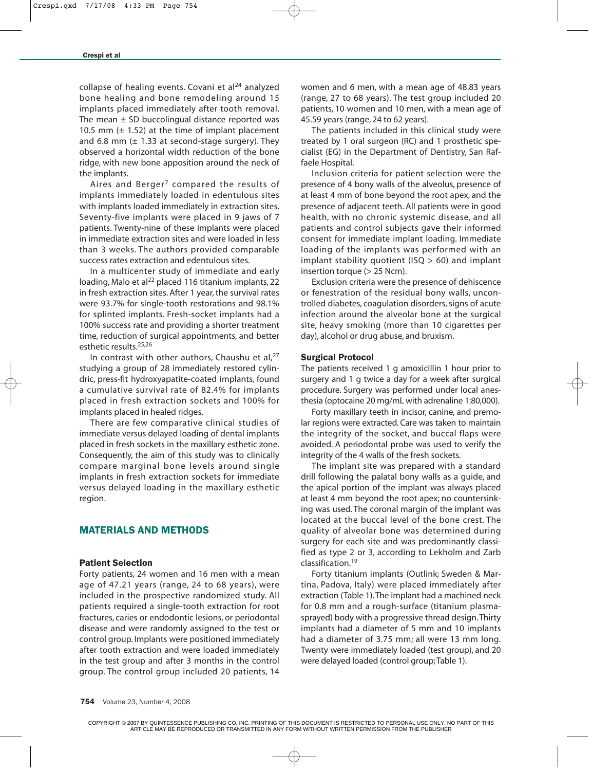collapse of healing events. Covani et  $al<sup>24</sup>$  analyzed bone healing and bone remodeling around 15 implants placed immediately after tooth removal. The mean  $\pm$  SD buccolingual distance reported was 10.5 mm  $(\pm 1.52)$  at the time of implant placement and 6.8 mm  $(\pm 1.33$  at second-stage surgery). They observed a horizontal width reduction of the bone ridge, with new bone apposition around the neck of the implants.

Aires and Berger<sup>7</sup> compared the results of implants immediately loaded in edentulous sites with implants loaded immediately in extraction sites. Seventy-five implants were placed in 9 jaws of 7 patients. Twenty-nine of these implants were placed in immediate extraction sites and were loaded in less than 3 weeks. The authors provided comparable success rates extraction and edentulous sites.

In a multicenter study of immediate and early loading, Malo et al<sup>22</sup> placed 116 titanium implants, 22 in fresh extraction sites. After 1 year, the survival rates were 93.7% for single-tooth restorations and 98.1% for splinted implants. Fresh-socket implants had a 100% success rate and providing a shorter treatment time, reduction of surgical appointments, and better esthetic results.25,26

In contrast with other authors, Chaushu et al, $^{27}$ studying a group of 28 immediately restored cylindric, press-fit hydroxyapatite-coated implants, found a cumulative survival rate of 82.4% for implants placed in fresh extraction sockets and 100% for implants placed in healed ridges.

There are few comparative clinical studies of immediate versus delayed loading of dental implants placed in fresh sockets in the maxillary esthetic zone. Consequently, the aim of this study was to clinically compare marginal bone levels around single implants in fresh extraction sockets for immediate versus delayed loading in the maxillary esthetic region.

# MATERIALS AND METHODS

#### Patient Selection

Forty patients, 24 women and 16 men with a mean age of 47.21 years (range, 24 to 68 years), were included in the prospective randomized study. All patients required a single-tooth extraction for root fractures, caries or endodontic lesions, or periodontal disease and were randomly assigned to the test or control group. Implants were positioned immediately after tooth extraction and were loaded immediately in the test group and after 3 months in the control group. The control group included 20 patients, 14

women and 6 men, with a mean age of 48.83 years (range, 27 to 68 years). The test group included 20 patients, 10 women and 10 men, with a mean age of 45.59 years (range, 24 to 62 years).

The patients included in this clinical study were treated by 1 oral surgeon (RC) and 1 prosthetic specialist (EG) in the Department of Dentistry, San Raffaele Hospital.

Inclusion criteria for patient selection were the presence of 4 bony walls of the alveolus, presence of at least 4 mm of bone beyond the root apex, and the presence of adjacent teeth. All patients were in good health, with no chronic systemic disease, and all patients and control subjects gave their informed consent for immediate implant loading. Immediate loading of the implants was performed with an implant stability quotient (ISQ  $>$  60) and implant insertion torque (> 25 Ncm).

Exclusion criteria were the presence of dehiscence or fenestration of the residual bony walls, uncontrolled diabetes, coagulation disorders, signs of acute infection around the alveolar bone at the surgical site, heavy smoking (more than 10 cigarettes per day), alcohol or drug abuse, and bruxism.

#### Surgical Protocol

The patients received 1 g amoxicillin 1 hour prior to surgery and 1 g twice a day for a week after surgical procedure. Surgery was performed under local anesthesia (optocaine 20 mg/mL with adrenaline 1:80,000).

Forty maxillary teeth in incisor, canine, and premolar regions were extracted. Care was taken to maintain the integrity of the socket, and buccal flaps were avoided. A periodontal probe was used to verify the integrity of the 4 walls of the fresh sockets.

The implant site was prepared with a standard drill following the palatal bony walls as a guide, and the apical portion of the implant was always placed at least 4 mm beyond the root apex; no countersinking was used. The coronal margin of the implant was located at the buccal level of the bone crest. The quality of alveolar bone was determined during surgery for each site and was predominantly classified as type 2 or 3, according to Lekholm and Zarb classification.19

Forty titanium implants (Outlink; Sweden & Martina, Padova, Italy) were placed immediately after extraction (Table 1).The implant had a machined neck for 0.8 mm and a rough-surface (titanium plasmasprayed) body with a progressive thread design.Thirty implants had a diameter of 5 mm and 10 implants had a diameter of 3.75 mm; all were 13 mm long. Twenty were immediately loaded (test group), and 20 were delayed loaded (control group;Table 1).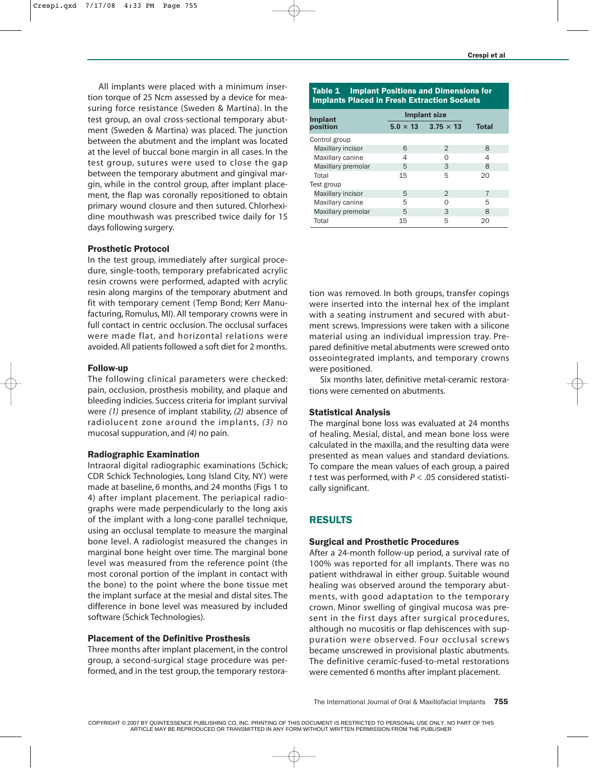All implants were placed with a minimum insertion torque of 25 Ncm assessed by a device for measuring force resistance (Sweden & Martina). In the test group, an oval cross-sectional temporary abutment (Sweden & Martina) was placed. The junction between the abutment and the implant was located at the level of buccal bone margin in all cases. In the test group, sutures were used to close the gap between the temporary abutment and gingival margin, while in the control group, after implant placement, the flap was coronally repositioned to obtain primary wound closure and then sutured. Chlorhexidine mouthwash was prescribed twice daily for 15 days following surgery.

## Prosthetic Protocol

In the test group, immediately after surgical procedure, single-tooth, temporary prefabricated acrylic resin crowns were performed, adapted with acrylic resin along margins of the temporary abutment and fit with temporary cement (Temp Bond; Kerr Manufacturing, Romulus, MI). All temporary crowns were in full contact in centric occlusion. The occlusal surfaces were made flat, and horizontal relations were avoided. All patients followed a soft diet for 2 months.

#### Follow-up

The following clinical parameters were checked: pain, occlusion, prosthesis mobility, and plaque and bleeding indicies. Success criteria for implant survival were *(1)* presence of implant stability, *(2)* absence of radiolucent zone around the implants, *(3)* no mucosal suppuration, and *(4)* no pain.

#### Radiographic Examination

Intraoral digital radiographic examinations (Schick; CDR Schick Technologies, Long Island City, NY) were made at baseline, 6 months, and 24 months (Figs 1 to 4) after implant placement. The periapical radiographs were made perpendicularly to the long axis of the implant with a long-cone parallel technique, using an occlusal template to measure the marginal bone level. A radiologist measured the changes in marginal bone height over time. The marginal bone level was measured from the reference point (the most coronal portion of the implant in contact with the bone) to the point where the bone tissue met the implant surface at the mesial and distal sites. The difference in bone level was measured by included software (Schick Technologies).

#### Placement of the Definitive Prosthesis

Three months after implant placement, in the control group, a second-surgical stage procedure was performed, and in the test group, the temporary restora-

#### Table 1 Implant Positions and Dimensions for Implants Placed in Fresh Extraction Sockets

| <b>Implant</b>     | <b>Implant size</b> |                                  |              |
|--------------------|---------------------|----------------------------------|--------------|
| position           |                     | $5.0 \times 13$ $3.75 \times 13$ | <b>Total</b> |
| Control group      |                     |                                  |              |
| Maxillary incisor  | 6                   | $\mathcal{P}$                    | 8            |
| Maxillary canine   | 4                   | Ω                                | 4            |
| Maxillary premolar | 5                   | 3                                | 8            |
| Total              | 15                  | 5                                | 20           |
| Test group         |                     |                                  |              |
| Maxillary incisor  | 5                   | $\mathcal{P}$                    | 7            |
| Maxillary canine   | 5                   |                                  | 5            |
| Maxillary premolar | 5                   | 3                                | 8            |
| Total              | 15                  | 5                                | 20           |

tion was removed. In both groups, transfer copings were inserted into the internal hex of the implant with a seating instrument and secured with abutment screws. Impressions were taken with a silicone material using an individual impression tray. Prepared definitive metal abutments were screwed onto osseointegrated implants, and temporary crowns were positioned.

Six months later, definitive metal-ceramic restorations were cemented on abutments.

# Statistical Analysis

The marginal bone loss was evaluated at 24 months of healing. Mesial, distal, and mean bone loss were calculated in the maxilla, and the resulting data were presented as mean values and standard deviations. To compare the mean values of each group, a paired *t* test was performed, with *P* < .05 considered statistically significant.

# RESULTS

#### Surgical and Prosthetic Procedures

After a 24-month follow-up period, a survival rate of 100% was reported for all implants. There was no patient withdrawal in either group. Suitable wound healing was observed around the temporary abutments, with good adaptation to the temporary crown. Minor swelling of gingival mucosa was present in the first days after surgical procedures, although no mucositis or flap dehiscences with suppuration were observed. Four occlusal screws became unscrewed in provisional plastic abutments. The definitive ceramic-fused-to-metal restorations were cemented 6 months after implant placement.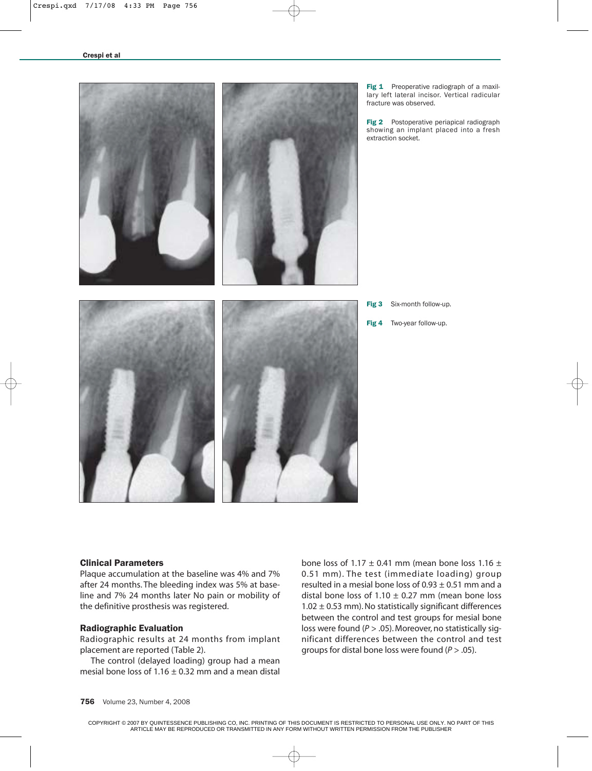

Fig 1 Preoperative radiograph of a maxillary left lateral incisor. Vertical radicular fracture was observed.

Fig 2 Postoperative periapical radiograph showing an implant placed into a fresh extraction socket.

Fig 3 Six-month follow-up. Fig 4 Two-year follow-up.

#### Clinical Parameters

Plaque accumulation at the baseline was 4% and 7% after 24 months. The bleeding index was 5% at baseline and 7% 24 months later No pain or mobility of the definitive prosthesis was registered.

#### Radiographic Evaluation

Radiographic results at 24 months from implant placement are reported (Table 2).

The control (delayed loading) group had a mean mesial bone loss of  $1.16 \pm 0.32$  mm and a mean distal

bone loss of  $1.17 \pm 0.41$  mm (mean bone loss  $1.16 \pm 1.16$ 0.51 mm). The test (immediate loading) group resulted in a mesial bone loss of  $0.93 \pm 0.51$  mm and a distal bone loss of  $1.10 \pm 0.27$  mm (mean bone loss  $1.02 \pm 0.53$  mm). No statistically significant differences between the control and test groups for mesial bone loss were found (*P* > .05). Moreover, no statistically significant differences between the control and test groups for distal bone loss were found (*P* > .05).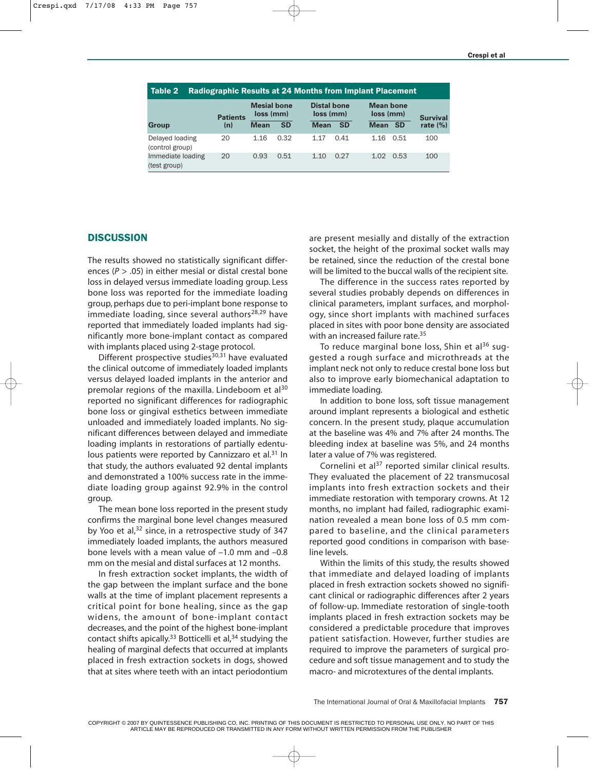| <b>Radiographic Results at 24 Months from Implant Placement</b><br>Table 2 |                 |                                 |           |                                 |           |                               |                 |  |  |
|----------------------------------------------------------------------------|-----------------|---------------------------------|-----------|---------------------------------|-----------|-------------------------------|-----------------|--|--|
|                                                                            | <b>Patients</b> | <b>Mesial bone</b><br>loss (mm) |           | <b>Distal bone</b><br>loss (mm) |           | <b>Mean bone</b><br>loss (mm) | <b>Survival</b> |  |  |
| Group                                                                      | (n)             | <b>Mean</b>                     | <b>SD</b> | <b>Mean</b>                     | <b>SD</b> | <b>Mean</b><br>- SD           | rate $(\% )$    |  |  |
| Delayed loading<br>(control group)                                         | 20              | 1.16                            | 0.32      | 1.17                            | 0.41      | 1.16<br>0.51                  | 100             |  |  |
| Immediate loading<br>(test group)                                          | 20              | 0.93                            | 0.51      | 1.10                            | 0.27      | 0.53<br>1.02                  | 100             |  |  |

# **DISCUSSION**

The results showed no statistically significant differences (*P* > .05) in either mesial or distal crestal bone loss in delayed versus immediate loading group. Less bone loss was reported for the immediate loading group, perhaps due to peri-implant bone response to immediate loading, since several authors<sup>28,29</sup> have reported that immediately loaded implants had significantly more bone-implant contact as compared with implants placed using 2-stage protocol.

Different prospective studies $30,31$  have evaluated the clinical outcome of immediately loaded implants versus delayed loaded implants in the anterior and premolar regions of the maxilla. Lindeboom et al<sup>30</sup> reported no significant differences for radiographic bone loss or gingival esthetics between immediate unloaded and immediately loaded implants. No significant differences between delayed and immediate loading implants in restorations of partially edentulous patients were reported by Cannizzaro et al.<sup>31</sup> In that study, the authors evaluated 92 dental implants and demonstrated a 100% success rate in the immediate loading group against 92.9% in the control group.

The mean bone loss reported in the present study confirms the marginal bone level changes measured by Yoo et al, $32$  since, in a retrospective study of 347 immediately loaded implants, the authors measured bone levels with a mean value of –1.0 mm and –0.8 mm on the mesial and distal surfaces at 12 months.

In fresh extraction socket implants, the width of the gap between the implant surface and the bone walls at the time of implant placement represents a critical point for bone healing, since as the gap widens, the amount of bone-implant contact decreases, and the point of the highest bone-implant contact shifts apically.<sup>33</sup> Botticelli et al, $34$  studying the healing of marginal defects that occurred at implants placed in fresh extraction sockets in dogs, showed that at sites where teeth with an intact periodontium

are present mesially and distally of the extraction socket, the height of the proximal socket walls may be retained, since the reduction of the crestal bone will be limited to the buccal walls of the recipient site.

The difference in the success rates reported by several studies probably depends on differences in clinical parameters, implant surfaces, and morphology, since short implants with machined surfaces placed in sites with poor bone density are associated with an increased failure rate.<sup>35</sup>

To reduce marginal bone loss, Shin et al<sup>36</sup> suggested a rough surface and microthreads at the implant neck not only to reduce crestal bone loss but also to improve early biomechanical adaptation to immediate loading.

In addition to bone loss, soft tissue management around implant represents a biological and esthetic concern. In the present study, plaque accumulation at the baseline was 4% and 7% after 24 months. The bleeding index at baseline was 5%, and 24 months later a value of 7% was registered.

Cornelini et al $37$  reported similar clinical results. They evaluated the placement of 22 transmucosal implants into fresh extraction sockets and their immediate restoration with temporary crowns. At 12 months, no implant had failed, radiographic examination revealed a mean bone loss of 0.5 mm compared to baseline, and the clinical parameters reported good conditions in comparison with baseline levels.

Within the limits of this study, the results showed that immediate and delayed loading of implants placed in fresh extraction sockets showed no significant clinical or radiographic differences after 2 years of follow-up. Immediate restoration of single-tooth implants placed in fresh extraction sockets may be considered a predictable procedure that improves patient satisfaction. However, further studies are required to improve the parameters of surgical procedure and soft tissue management and to study the macro- and microtextures of the dental implants.